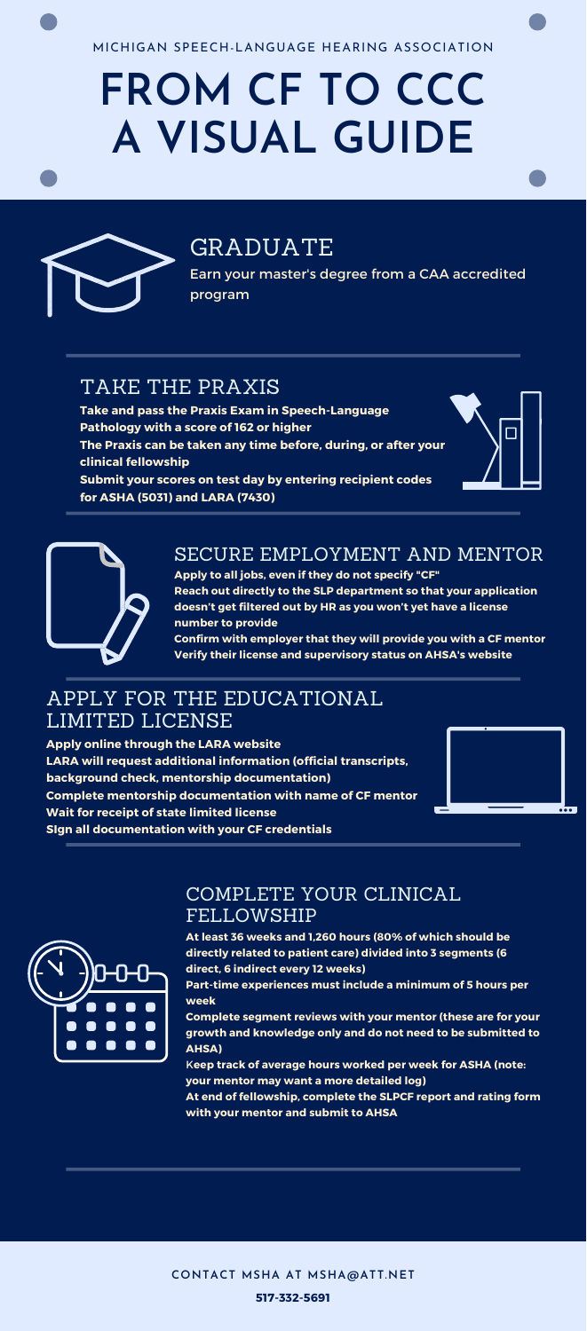### APPLY FOR THE EDUCATIONAL LIMITED LICENSE

**Apply online through the LARA website LARA will request additional information (official transcripts, background check, mentorship documentation) Complete mentorship documentation with name of CF mentor**

**Wait for receipt of state limited license SIgn all documentation with your CF credentials**



# **FROM CF TO CCC A VISUAL GUIDE**



MICHIGAN SPEECH-LANGUAGE HEARING ASSOCIATION

# GRADUATE

Earn your master's degree from a CAA accredited program

### TAKE THE PRAXIS

**Take and pass the Praxis Exam in Speech-Language Pathology with a score of 162 or higher The Praxis can be taken any time before, during, or after your clinical fellowship Submit your scores on test day by entering recipient codes for ASHA (5031) and LARA (7430)**



 $\overline{\cdots}$ 



### SECURE EMPLOYMENT AND MENTOR

**Apply to all jobs, even if they do not specify "CF" Reach out directly to the SLP department so that your application doesn't get filtered out by HR as you won't yet have a license number to provide**

**Confirm with employer that they will provide you with a CF mentor Verify their license and supervisory status on AHSA's website**

#### COMPLETE YOUR CLINICAL FELLOWSHIP

**At least 36 weeks and 1,260 hours (80% of which should be directly related to patient care) divided into 3 segments (6 direct, 6 indirect every 12 weeks)**

**Part-time experiences must include a minimum of 5 hours per week**

**Complete segment reviews with your mentor (these are for your growth and knowledge only and do not need to be submitted to AHSA)**

K**eep track of average hours worked per week for ASHA (note: your mentor may want a more detailed log) At end of fellowship, complete the SLPCF report and rating form with your mentor and submit to AHSA**

**CONTACT MSHA AT [MSHA@ATT.NET](mailto:msha@att.net?subject=Contact%3A%20Website%20Inquiry)**

**517-332-5691**